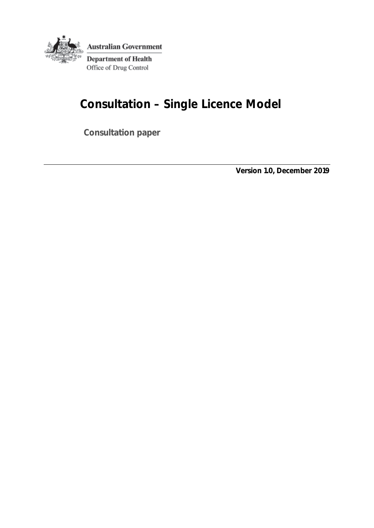

# **Consultation – Single Licence Model**

**Consultation paper**

**Version 1.0, December 2019**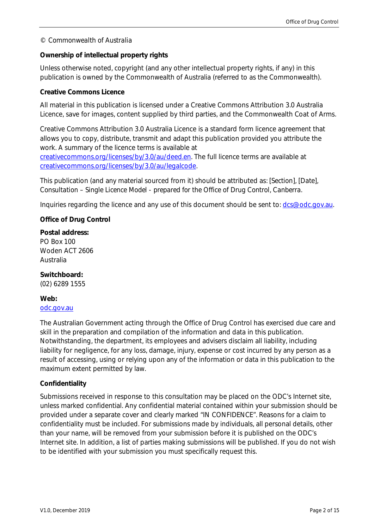#### *© Commonwealth of Australia*

#### **Ownership of intellectual property rights**

Unless otherwise noted, copyright (and any other intellectual property rights, if any) in this publication is owned by the Commonwealth of Australia (referred to as the Commonwealth).

#### **Creative Commons Licence**

All material in this publication is licensed under a Creative Commons Attribution 3.0 Australia Licence, save for images, content supplied by third parties, and the Commonwealth Coat of Arms.

Creative Commons Attribution 3.0 Australia Licence is a standard form licence agreement that allows you to copy, distribute, transmit and adapt this publication provided you attribute the work. A summary of the licence terms is available at

[creativecommons.org/licenses/by/3.0/au/deed.en.](http://creativecommons.org/licenses/by/3.0/au/deed.en) The full licence terms are available at [creativecommons.org/licenses/by/3.0/au/legalcode.](http://creativecommons.org/licenses/by/3.0/au/legalcode)

This publication (and any material sourced from it) should be attributed as: *[Section], [Date], Consultation – Single Licence Model - prepared for the Office of Drug Control, Canberra*.

Inquiries regarding the licence and any use of this document should be sent to: [dcs@odc.gov.au.](mailto:dcs@odc.gov.au)

#### **Office of Drug Control**

#### **Postal address:**

PO Box 100 Woden ACT 2606 Australia

#### **Switchboard:**

(02) 6289 1555

#### **Web:**

#### [odc.gov.au](https://www.odc.gov.au/)

The Australian Government acting through the Office of Drug Control has exercised due care and skill in the preparation and compilation of the information and data in this publication. Notwithstanding, the department, its employees and advisers disclaim all liability, including liability for negligence, for any loss, damage, injury, expense or cost incurred by any person as a result of accessing, using or relying upon any of the information or data in this publication to the maximum extent permitted by law.

#### **Confidentiality**

Submissions received in response to this consultation may be placed on the ODC's Internet site, unless marked confidential. Any confidential material contained within your submission should be provided under a separate cover and clearly marked "IN CONFIDENCE". Reasons for a claim to confidentiality must be included. For submissions made by individuals, all personal details, other than your name, will be removed from your submission before it is published on the ODC's Internet site. In addition, a list of parties making submissions will be published. If you do not wish to be identified with your submission you must specifically request this.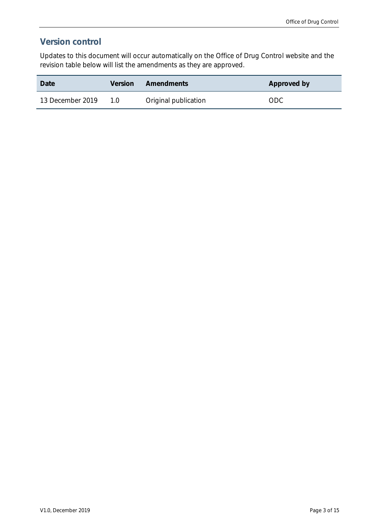# **Version control**

Updates to this document will occur automatically on the Office of Drug Control website and the revision table below will list the amendments as they are approved.

| Date             | <b>Version</b> | Amendments           | Approved by |
|------------------|----------------|----------------------|-------------|
| 13 December 2019 | 1.0            | Original publication | ODC.        |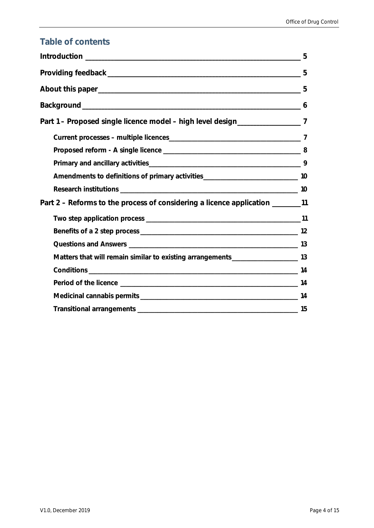# **Table of contents**

| Part 1 - Proposed single licence model - high level design__________________7        |  |
|--------------------------------------------------------------------------------------|--|
|                                                                                      |  |
|                                                                                      |  |
|                                                                                      |  |
| Amendments to definitions of primary activities__________________________________ 10 |  |
|                                                                                      |  |
| Part 2 – Reforms to the process of considering a licence application ________11      |  |
|                                                                                      |  |
|                                                                                      |  |
|                                                                                      |  |
| Matters that will remain similar to existing arrangements________________________ 13 |  |
|                                                                                      |  |
|                                                                                      |  |
|                                                                                      |  |
|                                                                                      |  |
|                                                                                      |  |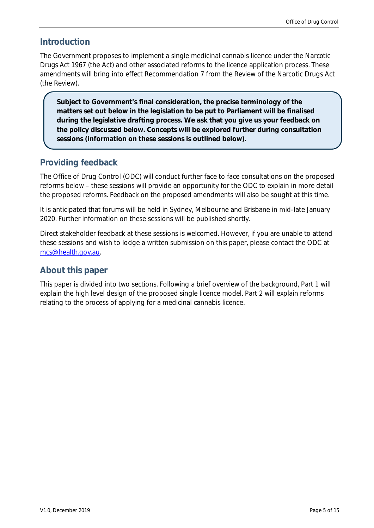### <span id="page-4-0"></span>**Introduction**

The Government proposes to implement a single medicinal cannabis licence under the *Narcotic Drugs Act 1967* (the Act) and other associated reforms to the licence application process. These amendments will bring into effect Recommendation 7 from the Review of the Narcotic Drugs Act (the Review).

**Subject to Government's final consideration, the precise terminology of the matters set out below in the legislation to be put to Parliament will be finalised during the legislative drafting process. We ask that you give us your feedback on the policy discussed below. Concepts will be explored further during consultation sessions (information on these sessions is outlined below).**

# <span id="page-4-1"></span>**Providing feedback**

The Office of Drug Control (ODC) will conduct further face to face consultations on the proposed reforms below – these sessions will provide an opportunity for the ODC to explain in more detail the proposed reforms. Feedback on the proposed amendments will also be sought at this time.

It is anticipated that forums will be held in Sydney, Melbourne and Brisbane in mid-late January 2020. Further information on these sessions will be published shortly.

Direct stakeholder feedback at these sessions is welcomed. However, if you are unable to attend these sessions and wish to lodge a written submission on this paper, please contact the ODC at [mcs@health.gov.au.](mailto:mcs@health.gov.au) 

# <span id="page-4-2"></span>**About this paper**

This paper is divided into two sections. Following a brief overview of the background, Part 1 will explain the high level design of the proposed single licence model. Part 2 will explain reforms relating to the process of applying for a medicinal cannabis licence.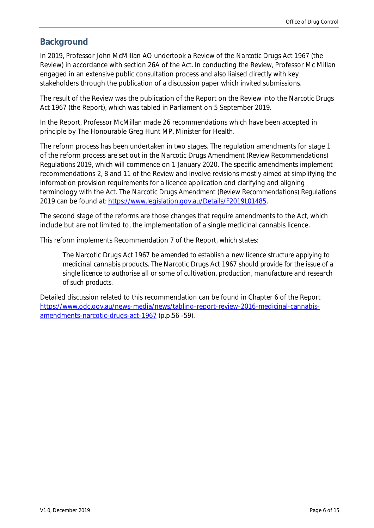## <span id="page-5-0"></span>**Background**

In 2019, Professor John McMillan AO undertook a Review of the *Narcotic Drugs Act 1967* (the Review) in accordance with section 26A of the Act. In conducting the Review, Professor Mc Millan engaged in an extensive public consultation process and also liaised directly with key stakeholders through the publication of a discussion paper which invited submissions.

The result of the Review was the publication of the Report on the Review into the *Narcotic Drugs Act 1967* (the Report), which was tabled in Parliament on 5 September 2019.

In the Report, Professor McMillan made 26 recommendations which have been accepted in principle by The Honourable Greg Hunt MP, Minister for Health.

The reform process has been undertaken in two stages. The regulation amendments for stage 1 of the reform process are set out in the *Narcotic Drugs Amendment (Review Recommendations) Regulations 2019*, which will commence on 1 January 2020. The specific amendments implement recommendations 2, 8 and 11 of the Review and involve revisions mostly aimed at simplifying the information provision requirements for a licence application and clarifying and aligning terminology with the Act. The *Narcotic Drugs Amendment (Review Recommendations) Regulations 2019* can be found at: [https://www.legislation.gov.au/Details/F2019L01485.](https://www.legislation.gov.au/Details/F2019L01485)

The second stage of the reforms are those changes that require amendments to the Act, which include but are not limited to, the implementation of a single medicinal cannabis licence.

This reform implements Recommendation 7 of the Report, which states:

*The* Narcotic Drugs Act 1967 *be amended to establish a new licence structure applying to medicinal cannabis products. The Narcotic Drugs Act 1967 should provide for the issue of a single licence to authorise all or some of cultivation, production, manufacture and research of such products.*

Detailed discussion related to this recommendation can be found in Chapter 6 of the Report [https://www.odc.gov.au/news-media/news/tabling-report-review-2016-medicinal-cannabis](https://www.odc.gov.au/news-media/news/tabling-report-review-2016-medicinal-cannabis-amendments-narcotic-drugs-act-1967)[amendments-narcotic-drugs-act-1967](https://www.odc.gov.au/news-media/news/tabling-report-review-2016-medicinal-cannabis-amendments-narcotic-drugs-act-1967) (p.p.56 -59).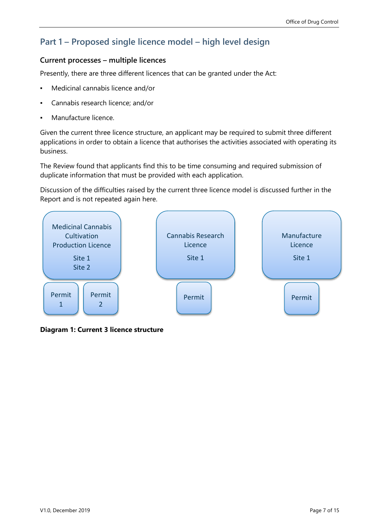# <span id="page-6-0"></span>**Part 1 – Proposed single licence model – high level design**

#### <span id="page-6-1"></span>**Current processes – multiple licences**

Presently, there are three different licences that can be granted under the Act:

- Medicinal cannabis licence and/or
- Cannabis research licence; and/or
- Manufacture licence.

Given the current three licence structure, an applicant may be required to submit three different applications in order to obtain a licence that authorises the activities associated with operating its business.

The Review found that applicants find this to be time consuming and required submission of duplicate information that must be provided with each application.

Discussion of the difficulties raised by the current three licence model is discussed further in the Report and is not repeated again here.



**Diagram 1: Current 3 licence structure**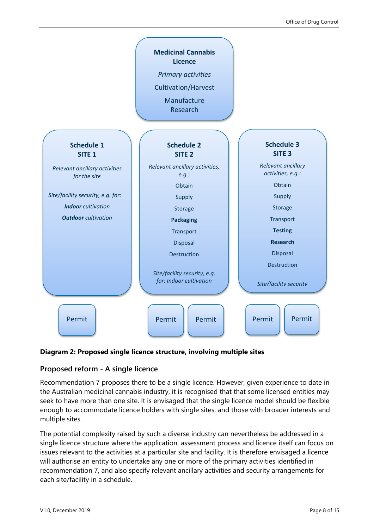

#### **Diagram 2: Proposed single licence structure, involving multiple sites**

#### <span id="page-7-0"></span>**Proposed reform - A single licence**

Recommendation 7 proposes there to be a single licence. However, given experience to date in the Australian medicinal cannabis industry, it is recognised that that some licensed entities may seek to have more than one site. It is envisaged that the single licence model should be flexible enough to accommodate licence holders with single sites, and those with broader interests and multiple sites.

The potential complexity raised by such a diverse industry can nevertheless be addressed in a single licence structure where the application, assessment process and licence itself can focus on issues relevant to the activities at a particular site and facility. It is therefore envisaged a licence will authorise an entity to undertake any one or more of the primary activities identified in recommendation 7, and also specify relevant ancillary activities and security arrangements for each site/facility in a schedule.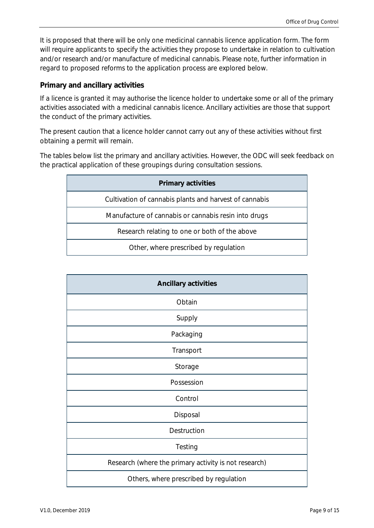It is proposed that there will be only one medicinal cannabis licence application form. The form will require applicants to specify the activities they propose to undertake in relation to cultivation and/or research and/or manufacture of medicinal cannabis. Please note, further information in regard to proposed reforms to the application process are explored below.

#### <span id="page-8-0"></span>**Primary and ancillary activities**

If a licence is granted it may authorise the licence holder to undertake some or all of the primary activities associated with a medicinal cannabis licence. Ancillary activities are those that support the conduct of the primary activities.

The present caution that a licence holder cannot carry out any of these activities without first obtaining a permit will remain.

The tables below list the primary and ancillary activities. However, the ODC will seek feedback on the practical application of these groupings during consultation sessions.

| <b>Primary activities</b>                              |
|--------------------------------------------------------|
| Cultivation of cannabis plants and harvest of cannabis |
| Manufacture of cannabis or cannabis resin into drugs   |
| Research relating to one or both of the above          |
| Other, where prescribed by regulation                  |

| <b>Ancillary activities</b>                           |
|-------------------------------------------------------|
| Obtain                                                |
| Supply                                                |
| Packaging                                             |
| Transport                                             |
| Storage                                               |
| Possession                                            |
| Control                                               |
| Disposal                                              |
| Destruction                                           |
| Testing                                               |
| Research (where the primary activity is not research) |
| Others, where prescribed by regulation                |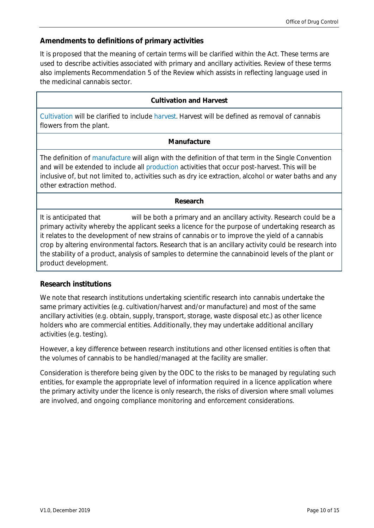## <span id="page-9-0"></span>**Amendments to definitions of primary activities**

It is proposed that the meaning of certain terms will be clarified within the Act. These terms are used to describe activities associated with primary and ancillary activities. Review of these terms also implements Recommendation 5 of the Review which assists in reflecting language used in the medicinal cannabis sector.

#### **Cultivation and Harvest**

*Cultivation* will be clarified to include *harvest*. Harvest will be defined as removal of cannabis flowers from the plant.

#### **Manufacture**

The definition of *manufacture* will align with the definition of that term in the Single Convention and will be extended to include all *production* activities that occur post-harvest. This will be inclusive of, but not limited to, activities such as dry ice extraction, alcohol or water baths and any other extraction method.

#### **Research**

It is anticipated that will be both a primary and an ancillary activity. Research could be a primary activity whereby the applicant seeks a licence for the purpose of undertaking research as it relates to the development of new strains of cannabis or to improve the yield of a cannabis crop by altering environmental factors. Research that is an ancillary activity could be research into the stability of a product, analysis of samples to determine the cannabinoid levels of the plant or product development.

#### <span id="page-9-1"></span>**Research institutions**

We note that research institutions undertaking scientific research into cannabis undertake the same primary activities (e.g. cultivation/harvest and/or manufacture) and most of the same ancillary activities (e.g. obtain, supply, transport, storage, waste disposal etc.) as other licence holders who are commercial entities. Additionally, they may undertake additional ancillary activities (e.g. testing).

However, a key difference between research institutions and other licensed entities is often that the volumes of cannabis to be handled/managed at the facility are smaller.

Consideration is therefore being given by the ODC to the risks to be managed by regulating such entities, for example the appropriate level of information required in a licence application where the primary activity under the licence is only research, the risks of diversion where small volumes are involved, and ongoing compliance monitoring and enforcement considerations.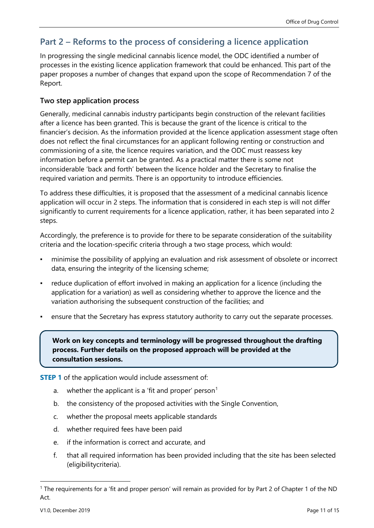# <span id="page-10-0"></span>**Part 2 – Reforms to the process of considering a licence application**

In progressing the single medicinal cannabis licence model, the ODC identified a number of processes in the existing licence application framework that could be enhanced. This part of the paper proposes a number of changes that expand upon the scope of Recommendation 7 of the Report.

### <span id="page-10-1"></span>**Two step application process**

Generally, medicinal cannabis industry participants begin construction of the relevant facilities after a licence has been granted. This is because the grant of the licence is critical to the financier's decision. As the information provided at the licence application assessment stage often does not reflect the final circumstances for an applicant following renting or construction and commissioning of a site, the licence requires variation, and the ODC must reassess key information before a permit can be granted. As a practical matter there is some not inconsiderable 'back and forth' between the licence holder and the Secretary to finalise the required variation and permits. There is an opportunity to introduce efficiencies.

To address these difficulties, it is proposed that the assessment of a medicinal cannabis licence application will occur in 2 steps. The information that is considered in each step is will not differ significantly to current requirements for a licence application, rather, it has been separated into 2 steps.

Accordingly, the preference is to provide for there to be separate consideration of the suitability criteria and the location-specific criteria through a two stage process, which would:

- minimise the possibility of applying an evaluation and risk assessment of obsolete or incorrect data, ensuring the integrity of the licensing scheme;
- reduce duplication of effort involved in making an application for a licence (including the application for a variation) as well as considering whether to approve the licence and the variation authorising the subsequent construction of the facilities; and
- ensure that the Secretary has express statutory authority to carry out the separate processes.

**Work on key concepts and terminology will be progressed throughout the drafting process. Further details on the proposed approach will be provided at the consultation sessions.**

**STEP 1** of the application would include assessment of:

- a. whether the applicant is a 'fit and proper' person<sup>1</sup>
- b. the consistency of the proposed activities with the Single Convention,
- c. whether the proposal meets applicable standards
- d. whether required fees have been paid
- e. if the information is correct and accurate, and
- f. that all required information has been provided including that the site has been selected (eligibilitycriteria).

 $\ddot{\phantom{a}}$ 

<sup>&</sup>lt;sup>1</sup> The requirements for a 'fit and proper person' will remain as provided for by Part 2 of Chapter 1 of the ND Act.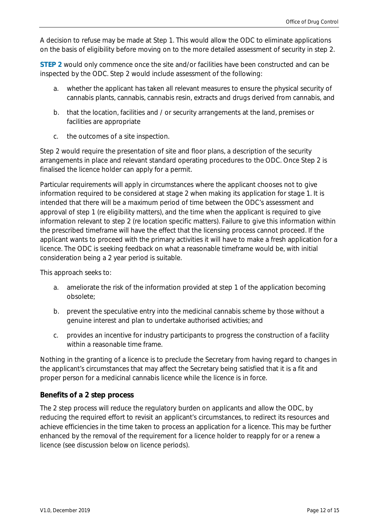A decision to refuse may be made at Step 1. This would allow the ODC to eliminate applications on the basis of eligibility before moving on to the more detailed assessment of security in step 2.

**STEP 2** would only commence once the site and/or facilities have been constructed and can be inspected by the ODC. Step 2 would include assessment of the following:

- a. whether the applicant has taken all relevant measures to ensure the physical security of cannabis plants, cannabis, cannabis resin, extracts and drugs derived from cannabis, and
- b. that the location, facilities and / or security arrangements at the land, premises or facilities are appropriate
- c. the outcomes of a site inspection.

Step 2 would require the presentation of site and floor plans, a description of the security arrangements in place and relevant standard operating procedures to the ODC. Once Step 2 is finalised the licence holder can apply for a permit.

Particular requirements will apply in circumstances where the applicant chooses not to give information required to be considered at stage 2 when making its application for stage 1. It is intended that there will be a maximum period of time between the ODC's assessment and approval of step 1 (re eligibility matters), and the time when the applicant is required to give information relevant to step 2 (re location specific matters). Failure to give this information within the prescribed timeframe will have the effect that the licensing process cannot proceed. If the applicant wants to proceed with the primary activities it will have to make a fresh application for a licence. The ODC is seeking feedback on what a reasonable timeframe would be, with initial consideration being a 2 year period is suitable.

This approach seeks to:

- a. ameliorate the risk of the information provided at step 1 of the application becoming obsolete;
- b. prevent the speculative entry into the medicinal cannabis scheme by those without a genuine interest and plan to undertake authorised activities; and
- c. provides an incentive for industry participants to progress the construction of a facility within a reasonable time frame.

Nothing in the granting of a licence is to preclude the Secretary from having regard to changes in the applicant's circumstances that may affect the Secretary being satisfied that it is a fit and proper person for a medicinal cannabis licence while the licence is in force.

#### <span id="page-11-0"></span>**Benefits of a 2 step process**

The 2 step process will reduce the regulatory burden on applicants and allow the ODC, by reducing the required effort to revisit an applicant's circumstances, to redirect its resources and achieve efficiencies in the time taken to process an application for a licence. This may be further enhanced by the removal of the requirement for a licence holder to reapply for or a renew a licence (see discussion below on licence periods).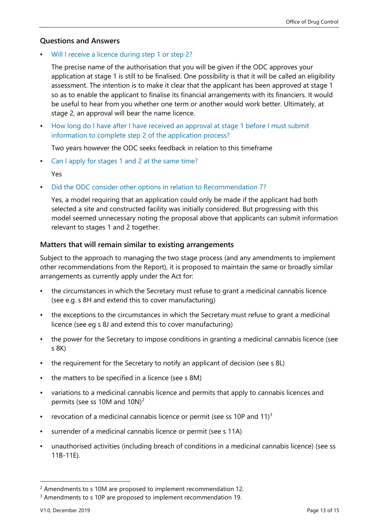#### <span id="page-12-0"></span>**Questions and Answers**

▪ Will I receive a licence during step 1 or step 2?

The precise name of the authorisation that you will be given if the ODC approves your application at stage 1 is still to be finalised. One possibility is that it will be called an eligibility assessment. The intention is to make it clear that the applicant has been approved at stage 1 so as to enable the applicant to finalise its financial arrangements with its financiers. It would be useful to hear from you whether one term or another would work better. Ultimately, at stage 2, an approval will bear the name licence.

How long do I have after I have received an approval at stage 1 before I must submit information to complete step 2 of the application process?

Two years however the ODC seeks feedback in relation to this timeframe

Can I apply for stages 1 and 2 at the same time?

Yes

Did the ODC consider other options in relation to Recommendation 7?

Yes, a model requiring that an application could only be made if the applicant had both selected a site and constructed facility was initially considered. But progressing with this model seemed unnecessary noting the proposal above that applicants can submit information relevant to stages 1 and 2 together.

#### <span id="page-12-1"></span>**Matters that will remain similar to existing arrangements**

Subject to the approach to managing the two stage process (and any amendments to implement other recommendations from the Report), it is proposed to maintain the same or broadly similar arrangements as currently apply under the Act for:

- the circumstances in which the Secretary must refuse to grant a medicinal cannabis licence (see e.g. s 8H and extend this to cover manufacturing)
- the exceptions to the circumstances in which the Secretary must refuse to grant a medicinal licence (see eg s 8J and extend this to cover manufacturing)
- the power for the Secretary to impose conditions in granting a medicinal cannabis licence (see s 8K)
- the requirement for the Secretary to notify an applicant of decision (see s 8L)
- the matters to be specified in a licence (see s 8M)
- variations to a medicinal cannabis licence and permits that apply to cannabis licences and permits (see ss 10M and 10N)<sup>2</sup>
- revocation of a medicinal cannabis licence or permit (see ss 10P and  $11$ )<sup>3</sup>
- surrender of a medicinal cannabis licence or permit (see s 11A)
- unauthorised activities (including breach of conditions in a medicinal cannabis licence) (see ss 11B-11E).

 $\ddot{\phantom{a}}$ 

<sup>2</sup> Amendments to s 10M are proposed to implement recommendation 12.

<sup>&</sup>lt;sup>3</sup> Amendments to s 10P are proposed to implement recommendation 19.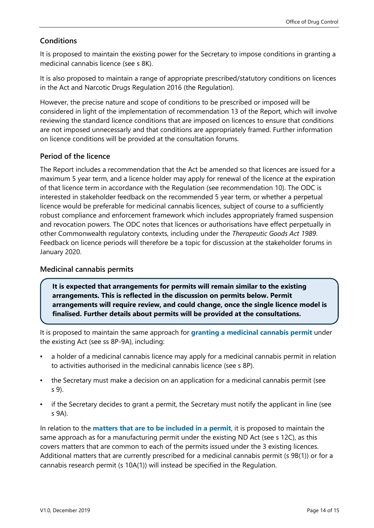#### <span id="page-13-0"></span>**Conditions**

It is proposed to maintain the existing power for the Secretary to impose conditions in granting a medicinal cannabis licence (see s 8K).

It is also proposed to maintain a range of appropriate prescribed/statutory conditions on licences in the Act and Narcotic Drugs Regulation 2016 (the Regulation).

However, the precise nature and scope of conditions to be prescribed or imposed will be considered in light of the implementation of recommendation 13 of the Report, which will involve reviewing the standard licence conditions that are imposed on licences to ensure that conditions are not imposed unnecessarly and that conditions are appropriately framed. Further information on licence conditions will be provided at the consultation forums.

#### <span id="page-13-1"></span>**Period of the licence**

The Report includes a recommendation that the Act be amended so that licences are issued for a maximum 5 year term, and a licence holder may apply for renewal of the licence at the expiration of that licence term in accordance with the Regulation (see recommendation 10). The ODC is interested in stakeholder feedback on the recommended 5 year term, or whether a perpetual licence would be preferable for medicinal cannabis licences, subject of course to a sufficiently robust compliance and enforcement framework which includes appropriately framed suspension and revocation powers. The ODC notes that licences or authorisations have effect perpetually in other Commonwealth regulatory contexts, including under the *Therapeutic Goods Act 1989*. Feedback on licence periods will therefore be a topic for discussion at the stakeholder forums in January 2020.

#### <span id="page-13-2"></span>**Medicinal cannabis permits**

**It is expected that arrangements for permits will remain similar to the existing arrangements. This is reflected in the discussion on permits below. Permit arrangements will require review, and could change, once the single licence model is finalised. Further details about permits will be provided at the consultations.**

It is proposed to maintain the same approach for **granting a medicinal cannabis permit** under the existing Act (see ss 8P-9A), including:

- a holder of a medicinal cannabis licence may apply for a medicinal cannabis permit in relation to activities authorised in the medicinal cannabis licence (see s 8P).
- the Secretary must make a decision on an application for a medicinal cannabis permit (see s 9).
- if the Secretary decides to grant a permit, the Secretary must notify the applicant in line (see s 9A).

In relation to the **matters that are to be included in a permit**, it is proposed to maintain the same approach as for a manufacturing permit under the existing ND Act (see s 12C), as this covers matters that are common to each of the permits issued under the 3 existing licences. Additional matters that are currently prescribed for a medicinal cannabis permit (s 9B(1)) or for a cannabis research permit (s 10A(1)) will instead be specified in the Regulation.